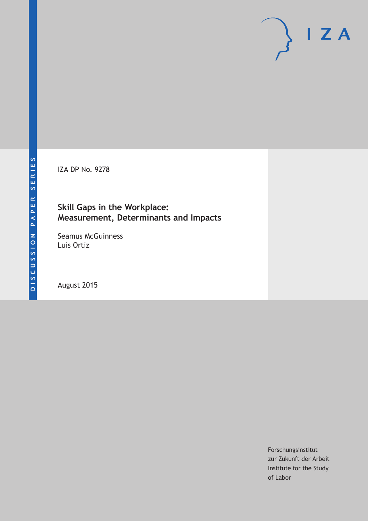IZA DP No. 9278

## **Skill Gaps in the Workplace: Measurement, Determinants and Impacts**

Seamus McGuinness Luis Ortiz

August 2015

Forschungsinstitut zur Zukunft der Arbeit Institute for the Study of Labor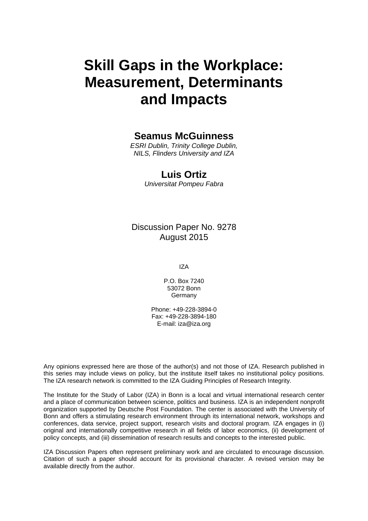# **Skill Gaps in the Workplace: Measurement, Determinants and Impacts**

### **Seamus McGuinness**

*ESRI Dublin, Trinity College Dublin, NILS, Flinders University and IZA* 

### **Luis Ortiz**

*Universitat Pompeu Fabra* 

Discussion Paper No. 9278 August 2015

IZA

P.O. Box 7240 53072 Bonn Germany

Phone: +49-228-3894-0 Fax: +49-228-3894-180 E-mail: iza@iza.org

Any opinions expressed here are those of the author(s) and not those of IZA. Research published in this series may include views on policy, but the institute itself takes no institutional policy positions. The IZA research network is committed to the IZA Guiding Principles of Research Integrity.

The Institute for the Study of Labor (IZA) in Bonn is a local and virtual international research center and a place of communication between science, politics and business. IZA is an independent nonprofit organization supported by Deutsche Post Foundation. The center is associated with the University of Bonn and offers a stimulating research environment through its international network, workshops and conferences, data service, project support, research visits and doctoral program. IZA engages in (i) original and internationally competitive research in all fields of labor economics, (ii) development of policy concepts, and (iii) dissemination of research results and concepts to the interested public.

IZA Discussion Papers often represent preliminary work and are circulated to encourage discussion. Citation of such a paper should account for its provisional character. A revised version may be available directly from the author.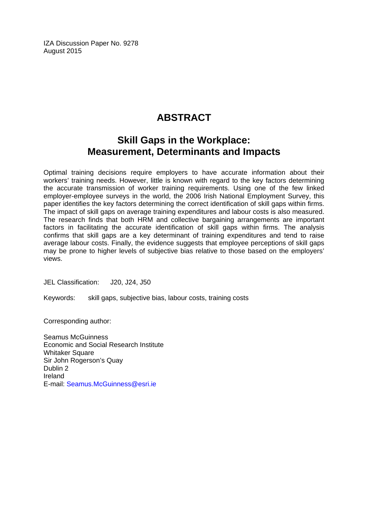IZA Discussion Paper No. 9278 August 2015

# **ABSTRACT**

## **Skill Gaps in the Workplace: Measurement, Determinants and Impacts**

Optimal training decisions require employers to have accurate information about their workers' training needs. However, little is known with regard to the key factors determining the accurate transmission of worker training requirements. Using one of the few linked employer-employee surveys in the world, the 2006 Irish National Employment Survey, this paper identifies the key factors determining the correct identification of skill gaps within firms. The impact of skill gaps on average training expenditures and labour costs is also measured. The research finds that both HRM and collective bargaining arrangements are important factors in facilitating the accurate identification of skill gaps within firms. The analysis confirms that skill gaps are a key determinant of training expenditures and tend to raise average labour costs. Finally, the evidence suggests that employee perceptions of skill gaps may be prone to higher levels of subjective bias relative to those based on the employers' views.

JEL Classification: J20, J24, J50

Keywords: skill gaps, subjective bias, labour costs, training costs

Corresponding author:

Seamus McGuinness Economic and Social Research Institute Whitaker Square Sir John Rogerson's Quay Dublin 2 Ireland E-mail: Seamus.McGuinness@esri.ie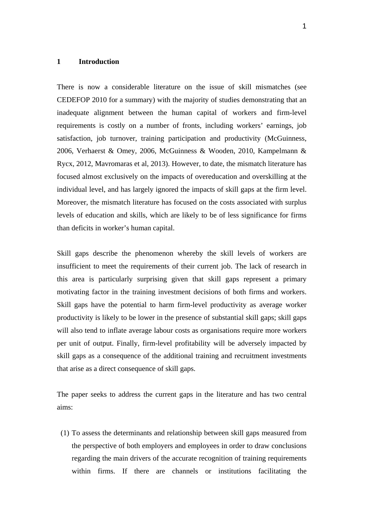#### **1 Introduction**

There is now a considerable literature on the issue of skill mismatches (see CEDEFOP 2010 for a summary) with the majority of studies demonstrating that an inadequate alignment between the human capital of workers and firm-level requirements is costly on a number of fronts, including workers' earnings, job satisfaction, job turnover, training participation and productivity (McGuinness, 2006, Verhaerst & Omey, 2006, McGuinness & Wooden, 2010, Kampelmann & Rycx, 2012, Mavromaras et al, 2013). However, to date, the mismatch literature has focused almost exclusively on the impacts of overeducation and overskilling at the individual level, and has largely ignored the impacts of skill gaps at the firm level. Moreover, the mismatch literature has focused on the costs associated with surplus levels of education and skills, which are likely to be of less significance for firms than deficits in worker's human capital.

Skill gaps describe the phenomenon whereby the skill levels of workers are insufficient to meet the requirements of their current job. The lack of research in this area is particularly surprising given that skill gaps represent a primary motivating factor in the training investment decisions of both firms and workers. Skill gaps have the potential to harm firm-level productivity as average worker productivity is likely to be lower in the presence of substantial skill gaps; skill gaps will also tend to inflate average labour costs as organisations require more workers per unit of output. Finally, firm-level profitability will be adversely impacted by skill gaps as a consequence of the additional training and recruitment investments that arise as a direct consequence of skill gaps.

The paper seeks to address the current gaps in the literature and has two central aims:

(1) To assess the determinants and relationship between skill gaps measured from the perspective of both employers and employees in order to draw conclusions regarding the main drivers of the accurate recognition of training requirements within firms. If there are channels or institutions facilitating the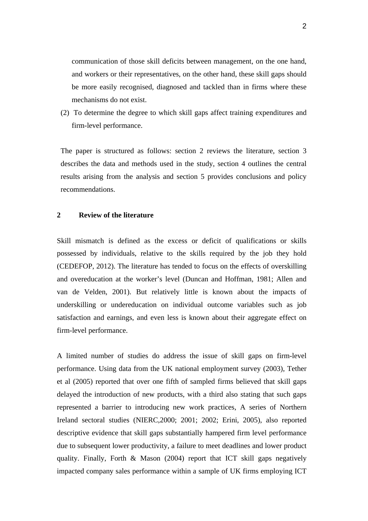communication of those skill deficits between management, on the one hand, and workers or their representatives, on the other hand, these skill gaps should be more easily recognised, diagnosed and tackled than in firms where these mechanisms do not exist.

(2) To determine the degree to which skill gaps affect training expenditures and firm-level performance.

The paper is structured as follows: section 2 reviews the literature, section 3 describes the data and methods used in the study, section 4 outlines the central results arising from the analysis and section 5 provides conclusions and policy recommendations.

#### **2 Review of the literature**

Skill mismatch is defined as the excess or deficit of qualifications or skills possessed by individuals, relative to the skills required by the job they hold (CEDEFOP, 2012). The literature has tended to focus on the effects of overskilling and overeducation at the worker's level (Duncan and Hoffman, 1981; Allen and van de Velden, 2001). But relatively little is known about the impacts of underskilling or undereducation on individual outcome variables such as job satisfaction and earnings, and even less is known about their aggregate effect on firm-level performance.

A limited number of studies do address the issue of skill gaps on firm-level performance. Using data from the UK national employment survey (2003), Tether et al (2005) reported that over one fifth of sampled firms believed that skill gaps delayed the introduction of new products, with a third also stating that such gaps represented a barrier to introducing new work practices, A series of Northern Ireland sectoral studies (NIERC,2000; 2001; 2002; Erini, 2005), also reported descriptive evidence that skill gaps substantially hampered firm level performance due to subsequent lower productivity, a failure to meet deadlines and lower product quality. Finally, Forth & Mason  $(2004)$  report that ICT skill gaps negatively impacted company sales performance within a sample of UK firms employing ICT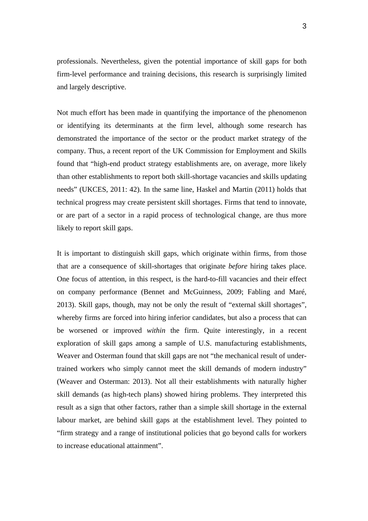professionals. Nevertheless, given the potential importance of skill gaps for both firm-level performance and training decisions, this research is surprisingly limited and largely descriptive.

Not much effort has been made in quantifying the importance of the phenomenon or identifying its determinants at the firm level, although some research has demonstrated the importance of the sector or the product market strategy of the company. Thus, a recent report of the UK Commission for Employment and Skills found that "high-end product strategy establishments are, on average, more likely than other establishments to report both skill-shortage vacancies and skills updating needs" (UKCES, 2011: 42). In the same line, Haskel and Martin (2011) holds that technical progress may create persistent skill shortages. Firms that tend to innovate, or are part of a sector in a rapid process of technological change, are thus more likely to report skill gaps.

It is important to distinguish skill gaps, which originate within firms, from those that are a consequence of skill-shortages that originate *before* hiring takes place. One focus of attention, in this respect, is the hard-to-fill vacancies and their effect on company performance (Bennet and McGuinness, 2009; Fabling and Maré, 2013). Skill gaps, though, may not be only the result of "external skill shortages", whereby firms are forced into hiring inferior candidates, but also a process that can be worsened or improved *within* the firm. Quite interestingly, in a recent exploration of skill gaps among a sample of U.S. manufacturing establishments, Weaver and Osterman found that skill gaps are not "the mechanical result of undertrained workers who simply cannot meet the skill demands of modern industry" (Weaver and Osterman: 2013). Not all their establishments with naturally higher skill demands (as high-tech plans) showed hiring problems. They interpreted this result as a sign that other factors, rather than a simple skill shortage in the external labour market, are behind skill gaps at the establishment level. They pointed to "firm strategy and a range of institutional policies that go beyond calls for workers to increase educational attainment".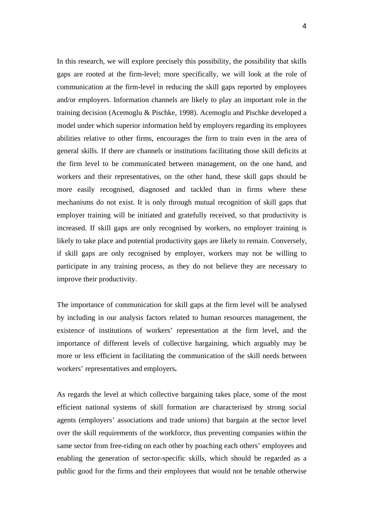In this research, we will explore precisely this possibility, the possibility that skills gaps are rooted at the firm-level; more specifically, we will look at the role of communication at the firm-level in reducing the skill gaps reported by employees and/or employers. Information channels are likely to play an important role in the training decision (Acemoglu & Pischke, 1998). Acemoglu and Pischke developed a model under which superior information held by employers regarding its employees abilities relative to other firms, encourages the firm to train even in the area of general skills. If there are channels or institutions facilitating those skill deficits at the firm level to be communicated between management, on the one hand, and workers and their representatives, on the other hand, these skill gaps should be more easily recognised, diagnosed and tackled than in firms where these mechanisms do not exist. It is only through mutual recognition of skill gaps that employer training will be initiated and gratefully received, so that productivity is increased. If skill gaps are only recognised by workers, no employer training is likely to take place and potential productivity gaps are likely to remain. Conversely, if skill gaps are only recognised by employer, workers may not be willing to participate in any training process, as they do not believe they are necessary to improve their productivity.

The importance of communication for skill gaps at the firm level will be analysed by including in our analysis factors related to human resources management, the existence of institutions of workers' representation at the firm level, and the importance of different levels of collective bargaining, which arguably may be more or less efficient in facilitating the communication of the skill needs between workers' representatives and employers**.** 

As regards the level at which collective bargaining takes place, some of the most efficient national systems of skill formation are characterised by strong social agents (employers' associations and trade unions) that bargain at the sector level over the skill requirements of the workforce, thus preventing companies within the same sector from free-riding on each other by poaching each others' employees and enabling the generation of sector-specific skills, which should be regarded as a public good for the firms and their employees that would not be tenable otherwise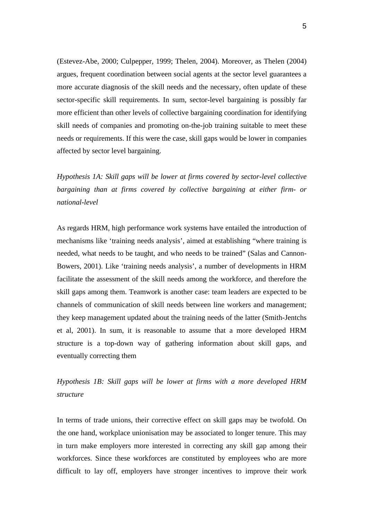(Estevez-Abe, 2000; Culpepper, 1999; Thelen, 2004). Moreover, as Thelen (2004) argues, frequent coordination between social agents at the sector level guarantees a more accurate diagnosis of the skill needs and the necessary, often update of these sector-specific skill requirements. In sum, sector-level bargaining is possibly far more efficient than other levels of collective bargaining coordination for identifying skill needs of companies and promoting on-the-job training suitable to meet these needs or requirements. If this were the case, skill gaps would be lower in companies affected by sector level bargaining.

*Hypothesis 1A: Skill gaps will be lower at firms covered by sector-level collective bargaining than at firms covered by collective bargaining at either firm- or national-level* 

As regards HRM, high performance work systems have entailed the introduction of mechanisms like 'training needs analysis', aimed at establishing "where training is needed, what needs to be taught, and who needs to be trained" (Salas and Cannon-Bowers, 2001). Like 'training needs analysis', a number of developments in HRM facilitate the assessment of the skill needs among the workforce, and therefore the skill gaps among them. Teamwork is another case: team leaders are expected to be channels of communication of skill needs between line workers and management; they keep management updated about the training needs of the latter (Smith-Jentchs et al, 2001). In sum, it is reasonable to assume that a more developed HRM structure is a top-down way of gathering information about skill gaps, and eventually correcting them

*Hypothesis 1B: Skill gaps will be lower at firms with a more developed HRM structure* 

In terms of trade unions, their corrective effect on skill gaps may be twofold. On the one hand, workplace unionisation may be associated to longer tenure. This may in turn make employers more interested in correcting any skill gap among their workforces. Since these workforces are constituted by employees who are more difficult to lay off, employers have stronger incentives to improve their work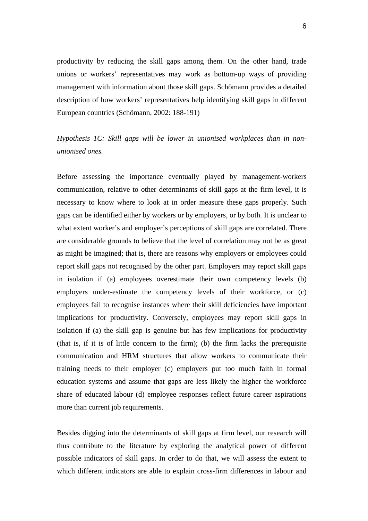productivity by reducing the skill gaps among them. On the other hand, trade unions or workers' representatives may work as bottom-up ways of providing management with information about those skill gaps. Schömann provides a detailed description of how workers' representatives help identifying skill gaps in different European countries (Schömann, 2002: 188-191)

### *Hypothesis 1C: Skill gaps will be lower in unionised workplaces than in nonunionised ones.*

Before assessing the importance eventually played by management-workers communication, relative to other determinants of skill gaps at the firm level, it is necessary to know where to look at in order measure these gaps properly. Such gaps can be identified either by workers or by employers, or by both. It is unclear to what extent worker's and employer's perceptions of skill gaps are correlated. There are considerable grounds to believe that the level of correlation may not be as great as might be imagined; that is, there are reasons why employers or employees could report skill gaps not recognised by the other part. Employers may report skill gaps in isolation if (a) employees overestimate their own competency levels (b) employers under-estimate the competency levels of their workforce, or (c) employees fail to recognise instances where their skill deficiencies have important implications for productivity. Conversely, employees may report skill gaps in isolation if (a) the skill gap is genuine but has few implications for productivity (that is, if it is of little concern to the firm); (b) the firm lacks the prerequisite communication and HRM structures that allow workers to communicate their training needs to their employer (c) employers put too much faith in formal education systems and assume that gaps are less likely the higher the workforce share of educated labour (d) employee responses reflect future career aspirations more than current job requirements.

Besides digging into the determinants of skill gaps at firm level, our research will thus contribute to the literature by exploring the analytical power of different possible indicators of skill gaps. In order to do that, we will assess the extent to which different indicators are able to explain cross-firm differences in labour and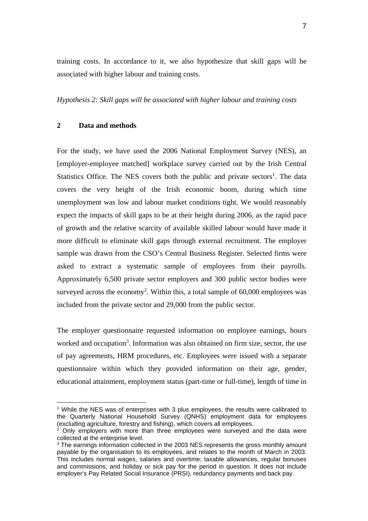training costs. In accordance to it, we also hypothesize that skill gaps will be associated with higher labour and training costs.

*Hypothesis 2: Skill gaps will be associated with higher labour and training costs* 

#### **2 Data and methods**

l

For the study, we have used the 2006 National Employment Survey (NES), an [employer-employee matched] workplace survey carried out by the Irish Central Statistics Office. The NES covers both the public and private sectors<sup>1</sup>. The data covers the very height of the Irish economic boom, during which time unemployment was low and labour market conditions tight. We would reasonably expect the impacts of skill gaps to be at their height during 2006, as the rapid pace of growth and the relative scarcity of available skilled labour would have made it more difficult to eliminate skill gaps through external recruitment. The employer sample was drawn from the CSO's Central Business Register. Selected firms were asked to extract a systematic sample of employees from their payrolls. Approximately 6,500 private sector employers and 300 public sector bodies were surveyed across the economy<sup>2</sup>. Within this, a total sample of  $60,000$  employees was included from the private sector and 29,000 from the public sector.

The employer questionnaire requested information on employee earnings, hours worked and occupation<sup>3</sup>. Information was also obtained on firm size, sector, the use of pay agreements, HRM procedures, etc. Employees were issued with a separate questionnaire within which they provided information on their age, gender, educational attainment, employment status (part-time or full-time), length of time in

<sup>&</sup>lt;sup>1</sup> While the NES was of enterprises with 3 plus employees, the results were calibrated to the Quarterly National Household Survey (QNHS) employment data for employees (excluding agriculture, forestry and fishing), which covers all employees.

 $2$  Only employers with more than three employees were surveyed and the data were collected at the enterprise level.

<sup>&</sup>lt;sup>3</sup> The earnings information collected in the 2003 NES represents the gross monthly amount payable by the organisation to its employees, and relates to the month of March in 2003. This includes normal wages, salaries and overtime; taxable allowances, regular bonuses and commissions; and holiday or sick pay for the period in question. It does not include employer's Pay Related Social Insurance (PRSI), redundancy payments and back pay.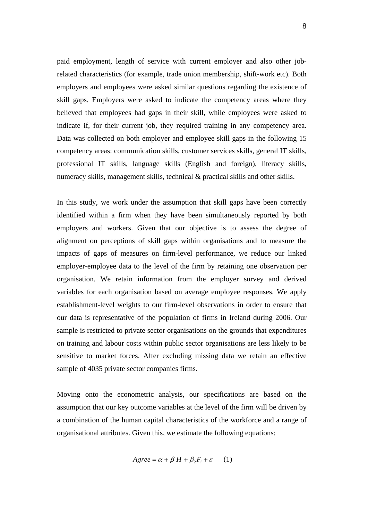paid employment, length of service with current employer and also other jobrelated characteristics (for example, trade union membership, shift-work etc). Both employers and employees were asked similar questions regarding the existence of skill gaps. Employers were asked to indicate the competency areas where they believed that employees had gaps in their skill, while employees were asked to indicate if, for their current job, they required training in any competency area. Data was collected on both employer and employee skill gaps in the following 15 competency areas: communication skills, customer services skills, general IT skills, professional IT skills, language skills (English and foreign), literacy skills, numeracy skills, management skills, technical & practical skills and other skills.

In this study, we work under the assumption that skill gaps have been correctly identified within a firm when they have been simultaneously reported by both employers and workers. Given that our objective is to assess the degree of alignment on perceptions of skill gaps within organisations and to measure the impacts of gaps of measures on firm-level performance, we reduce our linked employer-employee data to the level of the firm by retaining one observation per organisation. We retain information from the employer survey and derived variables for each organisation based on average employee responses. We apply establishment-level weights to our firm-level observations in order to ensure that our data is representative of the population of firms in Ireland during 2006. Our sample is restricted to private sector organisations on the grounds that expenditures on training and labour costs within public sector organisations are less likely to be sensitive to market forces. After excluding missing data we retain an effective sample of 4035 private sector companies firms.

Moving onto the econometric analysis, our specifications are based on the assumption that our key outcome variables at the level of the firm will be driven by a combination of the human capital characteristics of the workforce and a range of organisational attributes. Given this, we estimate the following equations:

$$
Agree = \alpha + \beta_1 \overline{H} + \beta_2 F_i + \varepsilon \qquad (1)
$$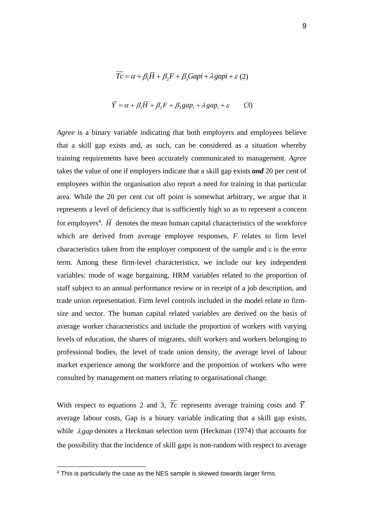$$
\overline{Tc} = \alpha + \beta_1 \overline{H} + \beta_2 F + \beta_3 Gapi + \lambda gapi + \varepsilon (2)
$$

$$
\overline{Y} = \alpha + \beta_1 \overline{H} + \beta_2 F + \beta_3 gap_i + \lambda gap_i + \varepsilon \tag{3}
$$

*Agree* is a binary variable indicating that both employers and employees believe that a skill gap exists and, as such, can be considered as a situation whereby training requirements have been accurately communicated to management. *Agree* takes the value of one if employers indicate that a skill gap exists *and* 20 per cent of employees within the organisation also report a need for training in that particular area. While the 20 per cent cut off point is somewhat arbitrary, we argue that it represents a level of deficiency that is sufficiently high so as to represent a concern for employers<sup>4</sup>.  $\overline{H}$  denotes the mean human capital characteristics of the workforce which are derived from average employee responses, *F* relates to firm level characteristics taken from the employer component of the sample and  $\varepsilon$  is the error term. Among these firm-level characteristics, we include our key independent variables: mode of wage bargaining, HRM variables related to the proportion of staff subject to an annual performance review or in receipt of a job description, and trade union representation. Firm level controls included in the model relate to firmsize and sector. The human capital related variables are derived on the basis of average worker characteristics and include the proportion of workers with varying levels of education, the shares of migrants, shift workers and workers belonging to professional bodies, the level of trade union density, the average level of labour market experience among the workforce and the proportion of workers who were consulted by management on matters relating to organisational change.

With respect to equations 2 and 3,  $\overline{T_c}$  represents average training costs and  $\overline{Y}$ average labour costs, Gap is a binary variable indicating that a skill gap exists, while  $\lambda$ *gap* denotes a Heckman selection term (Heckman (1974) that accounts for the possibility that the incidence of skill gaps is non-random with respect to average

l

<sup>&</sup>lt;sup>4</sup> This is particularly the case as the NES sample is skewed towards larger firms.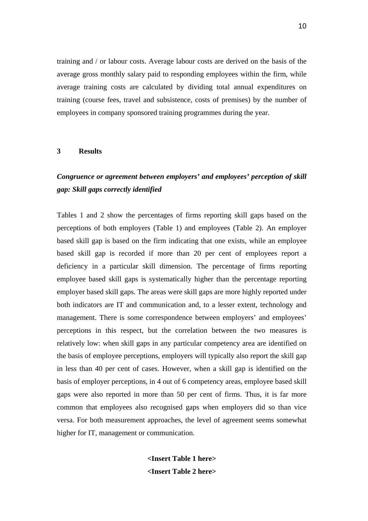training and / or labour costs. Average labour costs are derived on the basis of the average gross monthly salary paid to responding employees within the firm, while average training costs are calculated by dividing total annual expenditures on training (course fees, travel and subsistence, costs of premises) by the number of employees in company sponsored training programmes during the year.

#### **3 Results**

### *Congruence or agreement between employers' and employees' perception of skill gap: Skill gaps correctly identified*

Tables 1 and 2 show the percentages of firms reporting skill gaps based on the perceptions of both employers (Table 1) and employees (Table 2). An employer based skill gap is based on the firm indicating that one exists, while an employee based skill gap is recorded if more than 20 per cent of employees report a deficiency in a particular skill dimension. The percentage of firms reporting employee based skill gaps is systematically higher than the percentage reporting employer based skill gaps. The areas were skill gaps are more highly reported under both indicators are IT and communication and, to a lesser extent, technology and management. There is some correspondence between employers' and employees' perceptions in this respect, but the correlation between the two measures is relatively low: when skill gaps in any particular competency area are identified on the basis of employee perceptions, employers will typically also report the skill gap in less than 40 per cent of cases. However, when a skill gap is identified on the basis of employer perceptions, in 4 out of 6 competency areas, employee based skill gaps were also reported in more than 50 per cent of firms. Thus, it is far more common that employees also recognised gaps when employers did so than vice versa. For both measurement approaches, the level of agreement seems somewhat higher for IT, management or communication.

> **<Insert Table 1 here> <Insert Table 2 here>**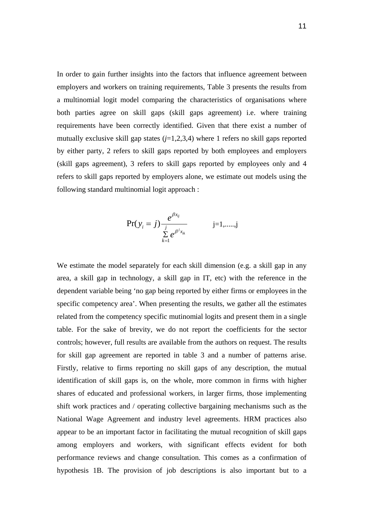In order to gain further insights into the factors that influence agreement between employers and workers on training requirements, Table 3 presents the results from a multinomial logit model comparing the characteristics of organisations where both parties agree on skill gaps (skill gaps agreement) i.e. where training requirements have been correctly identified. Given that there exist a number of mutually exclusive skill gap states  $(j=1,2,3,4)$  where 1 refers no skill gaps reported by either party, 2 refers to skill gaps reported by both employees and employers (skill gaps agreement), 3 refers to skill gaps reported by employees only and 4 refers to skill gaps reported by employers alone, we estimate out models using the following standard multinomial logit approach :

$$
\Pr(y_i = j) \frac{e^{\beta x_{ij}}}{\sum_{k=1}^{j} e^{\beta^j x_{ik}}}
$$
   
 j=1,......,j

We estimate the model separately for each skill dimension (e.g. a skill gap in any area, a skill gap in technology, a skill gap in IT, etc) with the reference in the dependent variable being 'no gap being reported by either firms or employees in the specific competency area'. When presenting the results, we gather all the estimates related from the competency specific mutinomial logits and present them in a single table. For the sake of brevity, we do not report the coefficients for the sector controls; however, full results are available from the authors on request. The results for skill gap agreement are reported in table 3 and a number of patterns arise. Firstly, relative to firms reporting no skill gaps of any description, the mutual identification of skill gaps is, on the whole, more common in firms with higher shares of educated and professional workers, in larger firms, those implementing shift work practices and / operating collective bargaining mechanisms such as the National Wage Agreement and industry level agreements. HRM practices also appear to be an important factor in facilitating the mutual recognition of skill gaps among employers and workers, with significant effects evident for both performance reviews and change consultation. This comes as a confirmation of hypothesis 1B. The provision of job descriptions is also important but to a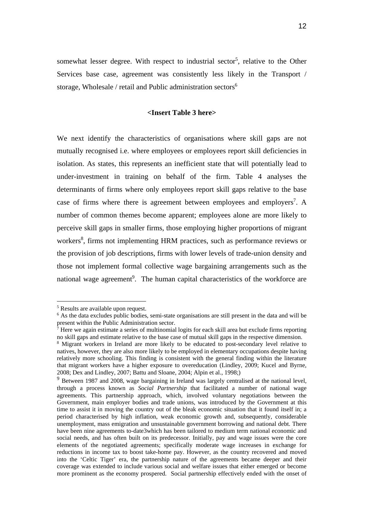somewhat lesser degree. With respect to industrial sector<sup>5</sup>, relative to the Other Services base case, agreement was consistently less likely in the Transport / storage, Wholesale / retail and Public administration sectors $6$ 

#### **<Insert Table 3 here>**

We next identify the characteristics of organisations where skill gaps are not mutually recognised i.e. where employees or employees report skill deficiencies in isolation. As states, this represents an inefficient state that will potentially lead to under-investment in training on behalf of the firm. Table 4 analyses the determinants of firms where only employees report skill gaps relative to the base case of firms where there is agreement between employees and employers<sup>7</sup>. A number of common themes become apparent; employees alone are more likely to perceive skill gaps in smaller firms, those employing higher proportions of migrant workers<sup>8</sup>, firms not implementing HRM practices, such as performance reviews or the provision of job descriptions, firms with lower levels of trade-union density and those not implement formal collective wage bargaining arrangements such as the national wage agreement<sup>9</sup>. The human capital characteristics of the workforce are

l

<sup>5</sup> Results are available upon request.

<sup>&</sup>lt;sup>6</sup> As the data excludes public bodies, semi-state organisations are still present in the data and will be present within the Public Administration sector.<br><sup>7</sup> Here we again estimate a series of multinomial logits for each skill area but exclude firms reporting

no skill gaps and estimate relative to the base case of mutual skill gaps in the respective dimension.

<sup>&</sup>lt;sup>8</sup> Migrant workers in Ireland are more likely to be educated to post-secondary level relative to natives, however, they are also more likely to be employed in elementary occupations despite having relatively more schooling. This finding is consistent with the general finding within the literature that migrant workers have a higher exposure to overeducation (Lindley, 2009; Kucel and Byrne, 2008; Dex and Lindley, 2007; Battu and Sloane, 2004; Alpin et al., 1998;)

<sup>&</sup>lt;sup>9</sup> Between 1987 and 2008, wage bargaining in Ireland was largely centralised at the national level, through a process known as *Social Partnership* that facilitated a number of national wage agreements. This partnership approach, which, involved voluntary negotiations between the Government, main employer bodies and trade unions, was introduced by the Government at this time to assist it in moving the country out of the bleak economic situation that it found itself in; a period characterised by high inflation, weak economic growth and, subsequently, considerable unemployment, mass emigration and unsustainable government borrowing and national debt. There have been nine agreements to-date3which has been tailored to medium term national economic and social needs, and has often built on its predecessor. Initially, pay and wage issues were the core elements of the negotiated agreements; specifically moderate wage increases in exchange for reductions in income tax to boost take-home pay. However, as the country recovered and moved into the 'Celtic Tiger' era, the partnership nature of the agreements became deeper and their coverage was extended to include various social and welfare issues that either emerged or become more prominent as the economy prospered. Social partnership effectively ended with the onset of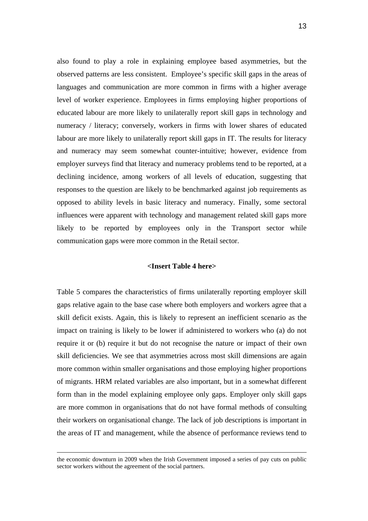also found to play a role in explaining employee based asymmetries, but the observed patterns are less consistent. Employee's specific skill gaps in the areas of languages and communication are more common in firms with a higher average level of worker experience. Employees in firms employing higher proportions of educated labour are more likely to unilaterally report skill gaps in technology and numeracy / literacy; conversely, workers in firms with lower shares of educated labour are more likely to unilaterally report skill gaps in IT. The results for literacy and numeracy may seem somewhat counter-intuitive; however, evidence from employer surveys find that literacy and numeracy problems tend to be reported, at a declining incidence, among workers of all levels of education, suggesting that responses to the question are likely to be benchmarked against job requirements as opposed to ability levels in basic literacy and numeracy. Finally, some sectoral influences were apparent with technology and management related skill gaps more likely to be reported by employees only in the Transport sector while communication gaps were more common in the Retail sector.

#### **<Insert Table 4 here>**

Table 5 compares the characteristics of firms unilaterally reporting employer skill gaps relative again to the base case where both employers and workers agree that a skill deficit exists. Again, this is likely to represent an inefficient scenario as the impact on training is likely to be lower if administered to workers who (a) do not require it or (b) require it but do not recognise the nature or impact of their own skill deficiencies. We see that asymmetries across most skill dimensions are again more common within smaller organisations and those employing higher proportions of migrants. HRM related variables are also important, but in a somewhat different form than in the model explaining employee only gaps. Employer only skill gaps are more common in organisations that do not have formal methods of consulting their workers on organisational change. The lack of job descriptions is important in the areas of IT and management, while the absence of performance reviews tend to

1

the economic downturn in 2009 when the Irish Government imposed a series of pay cuts on public sector workers without the agreement of the social partners.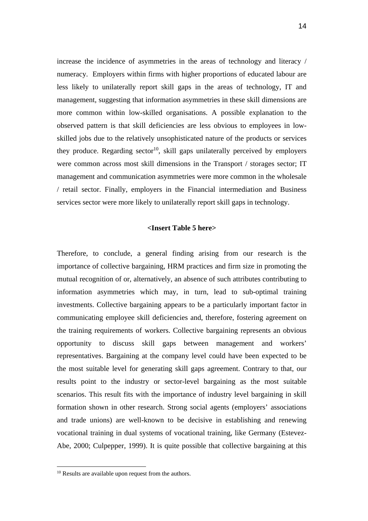increase the incidence of asymmetries in the areas of technology and literacy / numeracy. Employers within firms with higher proportions of educated labour are less likely to unilaterally report skill gaps in the areas of technology, IT and management, suggesting that information asymmetries in these skill dimensions are more common within low-skilled organisations. A possible explanation to the observed pattern is that skill deficiencies are less obvious to employees in lowskilled jobs due to the relatively unsophisticated nature of the products or services they produce. Regarding sector<sup>10</sup>, skill gaps unilaterally perceived by employers were common across most skill dimensions in the Transport / storages sector; IT management and communication asymmetries were more common in the wholesale / retail sector. Finally, employers in the Financial intermediation and Business services sector were more likely to unilaterally report skill gaps in technology.

#### **<Insert Table 5 here>**

Therefore, to conclude, a general finding arising from our research is the importance of collective bargaining, HRM practices and firm size in promoting the mutual recognition of or, alternatively, an absence of such attributes contributing to information asymmetries which may, in turn, lead to sub-optimal training investments. Collective bargaining appears to be a particularly important factor in communicating employee skill deficiencies and, therefore, fostering agreement on the training requirements of workers. Collective bargaining represents an obvious opportunity to discuss skill gaps between management and workers' representatives. Bargaining at the company level could have been expected to be the most suitable level for generating skill gaps agreement. Contrary to that, our results point to the industry or sector-level bargaining as the most suitable scenarios. This result fits with the importance of industry level bargaining in skill formation shown in other research. Strong social agents (employers' associations and trade unions) are well-known to be decisive in establishing and renewing vocational training in dual systems of vocational training, like Germany (Estevez-Abe, 2000; Culpepper, 1999). It is quite possible that collective bargaining at this

l

<sup>&</sup>lt;sup>10</sup> Results are available upon request from the authors.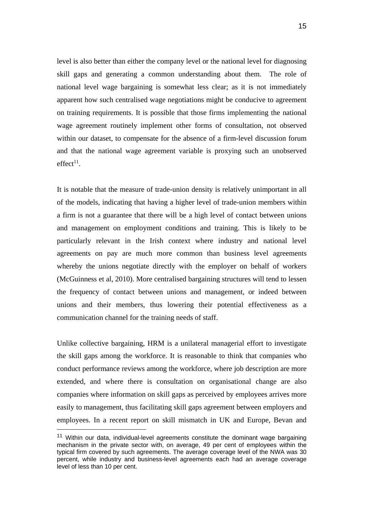level is also better than either the company level or the national level for diagnosing skill gaps and generating a common understanding about them. The role of national level wage bargaining is somewhat less clear; as it is not immediately apparent how such centralised wage negotiations might be conducive to agreement on training requirements. It is possible that those firms implementing the national wage agreement routinely implement other forms of consultation, not observed within our dataset, to compensate for the absence of a firm-level discussion forum and that the national wage agreement variable is proxying such an unobserved  $effect<sup>11</sup>$ .

It is notable that the measure of trade-union density is relatively unimportant in all of the models, indicating that having a higher level of trade-union members within a firm is not a guarantee that there will be a high level of contact between unions and management on employment conditions and training. This is likely to be particularly relevant in the Irish context where industry and national level agreements on pay are much more common than business level agreements whereby the unions negotiate directly with the employer on behalf of workers (McGuinness et al, 2010). More centralised bargaining structures will tend to lessen the frequency of contact between unions and management, or indeed between unions and their members, thus lowering their potential effectiveness as a communication channel for the training needs of staff.

Unlike collective bargaining, HRM is a unilateral managerial effort to investigate the skill gaps among the workforce. It is reasonable to think that companies who conduct performance reviews among the workforce, where job description are more extended, and where there is consultation on organisational change are also companies where information on skill gaps as perceived by employees arrives more easily to management, thus facilitating skill gaps agreement between employers and employees. In a recent report on skill mismatch in UK and Europe, Bevan and

l

 $11$  Within our data, individual-level agreements constitute the dominant wage bargaining mechanism in the private sector with, on average, 49 per cent of employees within the typical firm covered by such agreements. The average coverage level of the NWA was 30 percent, while industry and business-level agreements each had an average coverage level of less than 10 per cent.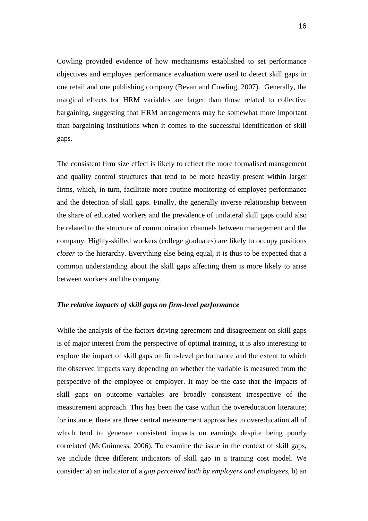Cowling provided evidence of how mechanisms established to set performance objectives and employee performance evaluation were used to detect skill gaps in one retail and one publishing company (Bevan and Cowling, 2007). Generally, the marginal effects for HRM variables are larger than those related to collective bargaining, suggesting that HRM arrangements may be somewhat more important than bargaining institutions when it comes to the successful identification of skill gaps.

The consistent firm size effect is likely to reflect the more formalised management and quality control structures that tend to be more heavily present within larger firms, which, in turn, facilitate more routine monitoring of employee performance and the detection of skill gaps. Finally, the generally inverse relationship between the share of educated workers and the prevalence of unilateral skill gaps could also be related to the structure of communication channels between management and the company. Highly-skilled workers (college graduates) are likely to occupy positions *closer* to the hierarchy. Everything else being equal, it is thus to be expected that a common understanding about the skill gaps affecting them is more likely to arise between workers and the company.

#### *The relative impacts of skill gaps on firm-level performance*

While the analysis of the factors driving agreement and disagreement on skill gaps is of major interest from the perspective of optimal training, it is also interesting to explore the impact of skill gaps on firm-level performance and the extent to which the observed impacts vary depending on whether the variable is measured from the perspective of the employee or employer. It may be the case that the impacts of skill gaps on outcome variables are broadly consistent irrespective of the measurement approach. This has been the case within the overeducation literature; for instance, there are three central measurement approaches to overeducation all of which tend to generate consistent impacts on earnings despite being poorly correlated (McGuinness, 2006). To examine the issue in the context of skill gaps, we include three different indicators of skill gap in a training cost model. We consider: a) an indicator of a *gap perceived both by employers and employees*, b) an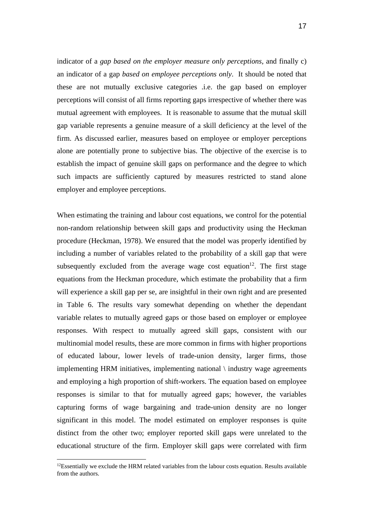indicator of a *gap based on the employer measure only perceptions*, and finally c) an indicator of a gap *based on employee perceptions only*. It should be noted that these are not mutually exclusive categories .i.e. the gap based on employer perceptions will consist of all firms reporting gaps irrespective of whether there was mutual agreement with employees. It is reasonable to assume that the mutual skill gap variable represents a genuine measure of a skill deficiency at the level of the firm. As discussed earlier, measures based on employee or employer perceptions alone are potentially prone to subjective bias. The objective of the exercise is to establish the impact of genuine skill gaps on performance and the degree to which such impacts are sufficiently captured by measures restricted to stand alone employer and employee perceptions.

When estimating the training and labour cost equations, we control for the potential non-random relationship between skill gaps and productivity using the Heckman procedure (Heckman, 1978). We ensured that the model was properly identified by including a number of variables related to the probability of a skill gap that were subsequently excluded from the average wage cost equation<sup>12</sup>. The first stage equations from the Heckman procedure, which estimate the probability that a firm will experience a skill gap per se, are insightful in their own right and are presented in Table 6. The results vary somewhat depending on whether the dependant variable relates to mutually agreed gaps or those based on employer or employee responses. With respect to mutually agreed skill gaps, consistent with our multinomial model results, these are more common in firms with higher proportions of educated labour, lower levels of trade-union density, larger firms, those implementing HRM initiatives, implementing national \ industry wage agreements and employing a high proportion of shift-workers. The equation based on employee responses is similar to that for mutually agreed gaps; however, the variables capturing forms of wage bargaining and trade-union density are no longer significant in this model. The model estimated on employer responses is quite distinct from the other two; employer reported skill gaps were unrelated to the educational structure of the firm. Employer skill gaps were correlated with firm

l

 $12$ Essentially we exclude the HRM related variables from the labour costs equation. Results available from the authors.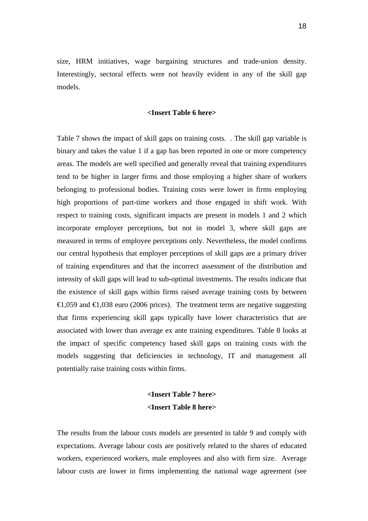size, HRM initiatives, wage bargaining structures and trade-union density. Interestingly, sectoral effects were not heavily evident in any of the skill gap models.

#### **<Insert Table 6 here>**

Table 7 shows the impact of skill gaps on training costs. . The skill gap variable is binary and takes the value 1 if a gap has been reported in one or more competency areas. The models are well specified and generally reveal that training expenditures tend to be higher in larger firms and those employing a higher share of workers belonging to professional bodies. Training costs were lower in firms employing high proportions of part-time workers and those engaged in shift work. With respect to training costs, significant impacts are present in models 1 and 2 which incorporate employer perceptions, but not in model 3, where skill gaps are measured in terms of employee perceptions only. Nevertheless, the model confirms our central hypothesis that employer perceptions of skill gaps are a primary driver of training expenditures and that the incorrect assessment of the distribution and intensity of skill gaps will lead to sub-optimal investments. The results indicate that the existence of skill gaps within firms raised average training costs by between  $\epsilon$ ,059 and  $\epsilon$ ,038 euro (2006 prices). The treatment terns are negative suggesting that firms experiencing skill gaps typically have lower characteristics that are associated with lower than average ex ante training expenditures. Table 8 looks at the impact of specific competency based skill gaps on training costs with the models suggesting that deficiencies in technology, IT and management all potentially raise training costs within firms.

### **<Insert Table 7 here> <Insert Table 8 here>**

The results from the labour costs models are presented in table 9 and comply with expectations. Average labour costs are positively related to the shares of educated workers, experienced workers, male employees and also with firm size. Average labour costs are lower in firms implementing the national wage agreement (see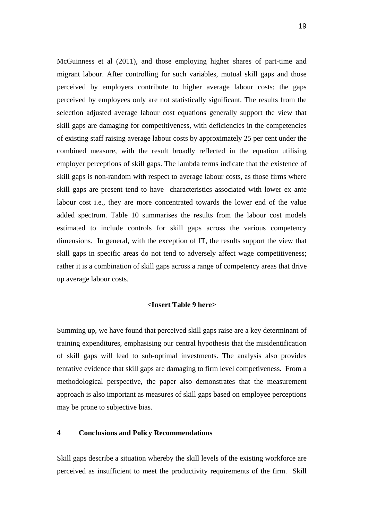McGuinness et al (2011), and those employing higher shares of part-time and migrant labour. After controlling for such variables, mutual skill gaps and those perceived by employers contribute to higher average labour costs; the gaps perceived by employees only are not statistically significant. The results from the selection adjusted average labour cost equations generally support the view that skill gaps are damaging for competitiveness, with deficiencies in the competencies of existing staff raising average labour costs by approximately 25 per cent under the combined measure, with the result broadly reflected in the equation utilising employer perceptions of skill gaps. The lambda terms indicate that the existence of skill gaps is non-random with respect to average labour costs, as those firms where skill gaps are present tend to have characteristics associated with lower ex ante labour cost i.e., they are more concentrated towards the lower end of the value added spectrum. Table 10 summarises the results from the labour cost models estimated to include controls for skill gaps across the various competency dimensions. In general, with the exception of IT, the results support the view that skill gaps in specific areas do not tend to adversely affect wage competitiveness; rather it is a combination of skill gaps across a range of competency areas that drive up average labour costs.

#### **<Insert Table 9 here>**

Summing up, we have found that perceived skill gaps raise are a key determinant of training expenditures, emphasising our central hypothesis that the misidentification of skill gaps will lead to sub-optimal investments. The analysis also provides tentative evidence that skill gaps are damaging to firm level competiveness. From a methodological perspective, the paper also demonstrates that the measurement approach is also important as measures of skill gaps based on employee perceptions may be prone to subjective bias.

#### **4 Conclusions and Policy Recommendations**

Skill gaps describe a situation whereby the skill levels of the existing workforce are perceived as insufficient to meet the productivity requirements of the firm. Skill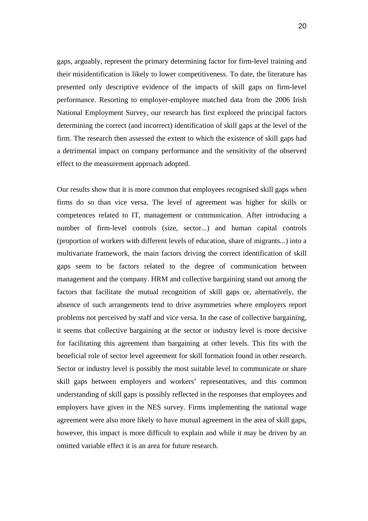gaps, arguably, represent the primary determining factor for firm-level training and their misidentification is likely to lower competitiveness. To date, the literature has presented only descriptive evidence of the impacts of skill gaps on firm-level performance. Resorting to employer-employee matched data from the 2006 Irish National Employment Survey, our research has first explored the principal factors determining the correct (and incorrect) identification of skill gaps at the level of the firm. The research then assessed the extent to which the existence of skill gaps had a detrimental impact on company performance and the sensitivity of the observed effect to the measurement approach adopted.

Our results show that it is more common that employees recognised skill gaps when firms do so than vice versa. The level of agreement was higher for skills or competences related to IT, management or communication. After introducing a number of firm-level controls (size, sector...) and human capital controls (proportion of workers with different levels of education, share of migrants...) into a multivariate framework, the main factors driving the correct identification of skill gaps seem to be factors related to the degree of communication between management and the company. HRM and collective bargaining stand out among the factors that facilitate the mutual recognition of skill gaps or, alternatively, the absence of such arrangements tend to drive asymmetries where employers report problems not perceived by staff and vice versa. In the case of collective bargaining, it seems that collective bargaining at the sector or industry level is more decisive for facilitating this agreement than bargaining at other levels. This fits with the beneficial role of sector level agreement for skill formation found in other research. Sector or industry level is possibly the most suitable level to communicate or share skill gaps between employers and workers' representatives, and this common understanding of skill gaps is possibly reflected in the responses that employees and employers have given in the NES survey. Firms implementing the national wage agreement were also more likely to have mutual agreement in the area of skill gaps, however, this impact is more difficult to explain and while it may be driven by an omitted variable effect it is an area for future research.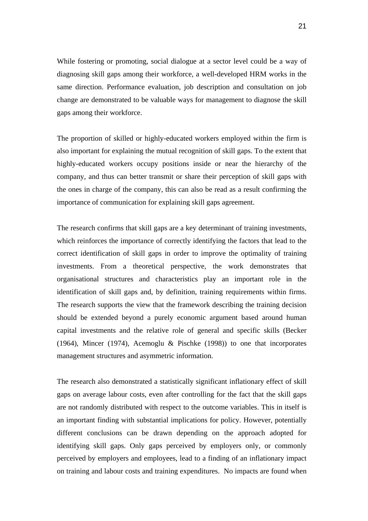While fostering or promoting, social dialogue at a sector level could be a way of diagnosing skill gaps among their workforce, a well-developed HRM works in the same direction. Performance evaluation, job description and consultation on job change are demonstrated to be valuable ways for management to diagnose the skill gaps among their workforce.

The proportion of skilled or highly-educated workers employed within the firm is also important for explaining the mutual recognition of skill gaps. To the extent that highly-educated workers occupy positions inside or near the hierarchy of the company, and thus can better transmit or share their perception of skill gaps with the ones in charge of the company, this can also be read as a result confirming the importance of communication for explaining skill gaps agreement.

The research confirms that skill gaps are a key determinant of training investments, which reinforces the importance of correctly identifying the factors that lead to the correct identification of skill gaps in order to improve the optimality of training investments. From a theoretical perspective, the work demonstrates that organisational structures and characteristics play an important role in the identification of skill gaps and, by definition, training requirements within firms. The research supports the view that the framework describing the training decision should be extended beyond a purely economic argument based around human capital investments and the relative role of general and specific skills (Becker (1964), Mincer (1974), Acemoglu & Pischke (1998)) to one that incorporates management structures and asymmetric information.

The research also demonstrated a statistically significant inflationary effect of skill gaps on average labour costs, even after controlling for the fact that the skill gaps are not randomly distributed with respect to the outcome variables. This in itself is an important finding with substantial implications for policy. However, potentially different conclusions can be drawn depending on the approach adopted for identifying skill gaps. Only gaps perceived by employers only, or commonly perceived by employers and employees, lead to a finding of an inflationary impact on training and labour costs and training expenditures. No impacts are found when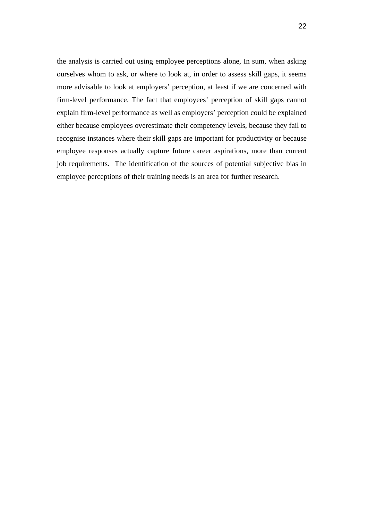the analysis is carried out using employee perceptions alone, In sum, when asking ourselves whom to ask, or where to look at, in order to assess skill gaps, it seems more advisable to look at employers' perception, at least if we are concerned with firm-level performance. The fact that employees' perception of skill gaps cannot explain firm-level performance as well as employers' perception could be explained either because employees overestimate their competency levels, because they fail to recognise instances where their skill gaps are important for productivity or because employee responses actually capture future career aspirations, more than current job requirements. The identification of the sources of potential subjective bias in employee perceptions of their training needs is an area for further research.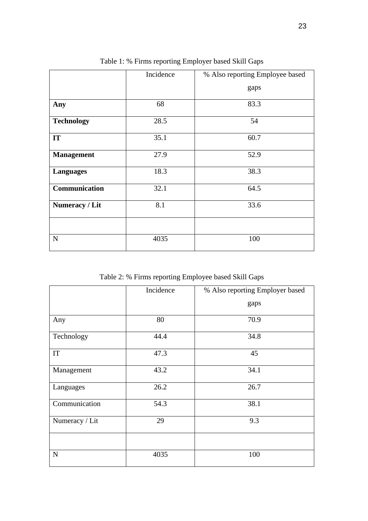|                   | Incidence | % Also reporting Employee based |
|-------------------|-----------|---------------------------------|
|                   |           | gaps                            |
| Any               | 68        | 83.3                            |
| <b>Technology</b> | 28.5      | 54                              |
| IT                | 35.1      | 60.7                            |
| <b>Management</b> | 27.9      | 52.9                            |
| <b>Languages</b>  | 18.3      | 38.3                            |
| Communication     | 32.1      | 64.5                            |
| Numeracy / Lit    | 8.1       | 33.6                            |
|                   |           |                                 |
| $\mathbf N$       | 4035      | 100                             |

Table 1: % Firms reporting Employer based Skill Gaps

Table 2: % Firms reporting Employee based Skill Gaps

|                | Incidence | % Also reporting Employer based |
|----------------|-----------|---------------------------------|
|                |           | gaps                            |
| Any            | 80        | 70.9                            |
| Technology     | 44.4      | 34.8                            |
| IT             | 47.3      | 45                              |
| Management     | 43.2      | 34.1                            |
| Languages      | 26.2      | 26.7                            |
| Communication  | 54.3      | 38.1                            |
| Numeracy / Lit | 29        | 9.3                             |
|                |           |                                 |
| ${\bf N}$      | 4035      | 100                             |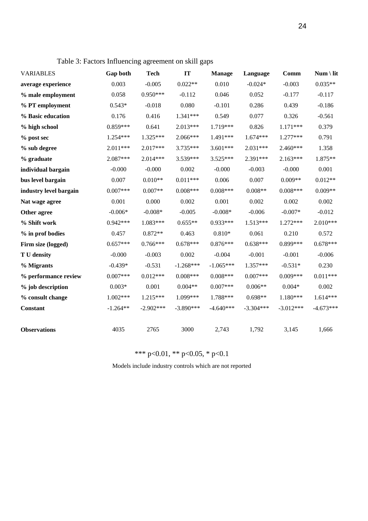| <b>VARIABLES</b>       | Gap both   | <b>Tech</b> | IT          | <b>Manage</b> | Language    | Comm        | $Num \setminus lit$ |
|------------------------|------------|-------------|-------------|---------------|-------------|-------------|---------------------|
| average experience     | 0.003      | $-0.005$    | $0.022**$   | 0.010         | $-0.024*$   | $-0.003$    | $0.035**$           |
| % male employment      | 0.058      | $0.950***$  | $-0.112$    | 0.046         | 0.052       | $-0.177$    | $-0.117$            |
| % PT employment        | $0.543*$   | $-0.018$    | 0.080       | $-0.101$      | 0.286       | 0.439       | $-0.186$            |
| % Basic education      | 0.176      | 0.416       | 1.341***    | 0.549         | 0.077       | 0.326       | $-0.561$            |
| % high school          | $0.859***$ | 0.641       | 2.013***    | 1.719***      | 0.826       | $1.171***$  | 0.379               |
| % post sec             | 1.254***   | $1.325***$  | 2.066***    | 1.491***      | $1.674***$  | 1.277***    | 0.791               |
| % sub degree           | 2.011***   | 2.017***    | $3.735***$  | $3.601***$    | $2.031***$  | 2.460***    | 1.358               |
| % graduate             | 2.087***   | $2.014***$  | 3.539***    | 3.525***      | 2.391***    | $2.163***$  | 1.875**             |
| individual bargain     | $-0.000$   | $-0.000$    | 0.002       | $-0.000$      | $-0.003$    | $-0.000$    | 0.001               |
| bus level bargain      | 0.007      | $0.010**$   | $0.011***$  | 0.006         | 0.007       | $0.009**$   | $0.012**$           |
| industry level bargain | $0.007***$ | $0.007**$   | $0.008***$  | $0.008***$    | $0.008**$   | $0.008***$  | $0.009**$           |
| Nat wage agree         | 0.001      | 0.000       | 0.002       | 0.001         | 0.002       | 0.002       | 0.002               |
| Other agree            | $-0.006*$  | $-0.008*$   | $-0.005$    | $-0.008*$     | $-0.006$    | $-0.007*$   | $-0.012$            |
| % Shift work           | $0.942***$ | 1.083***    | $0.655**$   | $0.933***$    | 1.513***    | 1.272***    | $2.010***$          |
| % in prof bodies       | 0.457      | $0.872**$   | 0.463       | $0.810*$      | 0.061       | 0.210       | 0.572               |
| Firm size (logged)     | $0.657***$ | $0.766***$  | $0.678***$  | $0.876***$    | $0.638***$  | 0.899***    | $0.678***$          |
| T U density            | $-0.000$   | $-0.003$    | 0.002       | $-0.004$      | $-0.001$    | $-0.001$    | $-0.006$            |
| % Migrants             | $-0.439*$  | $-0.531$    | $-1.268***$ | $-1.065***$   | 1.357***    | $-0.531*$   | 0.230               |
| % performance review   | $0.007***$ | $0.012***$  | $0.008***$  | $0.008***$    | $0.007***$  | $0.009***$  | $0.011***$          |
| % job description      | $0.003*$   | 0.001       | $0.004**$   | $0.007***$    | $0.006**$   | $0.004*$    | 0.002               |
| % consult change       | $1.002***$ | $1.215***$  | 1.099***    | 1.788***      | $0.698**$   | $1.180***$  | $1.614***$          |
| Constant               | $-1.264**$ | $-2.902***$ | $-3.890***$ | $-4.640***$   | $-3.304***$ | $-3.012***$ | $-4.673***$         |
| <b>Observations</b>    | 4035       | 2765        | 3000        | 2,743         | 1,792       | 3,145       | 1,666               |

Table 3: Factors Influencing agreement on skill gaps

\*\*\* p<0.01, \*\* p<0.05, \* p<0.1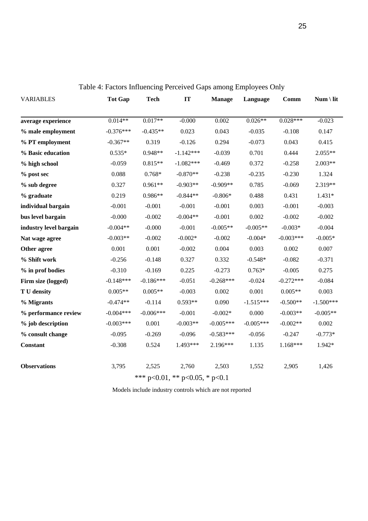| <b>VARIABLES</b>                       | <b>Tot Gap</b> | <b>Tech</b> | IT          | <b>Manage</b> | Language    | Comm        | $Num \setminus lit$ |
|----------------------------------------|----------------|-------------|-------------|---------------|-------------|-------------|---------------------|
|                                        |                |             |             |               |             |             |                     |
| average experience                     | $0.014**$      | $0.017**$   | $-0.000$    | 0.002         | $0.026**$   | $0.028***$  | $-0.023$            |
| % male employment                      | $-0.376***$    | $-0.435**$  | 0.023       | 0.043         | $-0.035$    | $-0.108$    | 0.147               |
| % PT employment                        | $-0.367**$     | 0.319       | $-0.126$    | 0.294         | $-0.073$    | 0.043       | 0.415               |
| % Basic education                      | $0.535*$       | $0.948**$   | $-1.142***$ | $-0.039$      | 0.701       | 0.444       | 2.055**             |
| % high school                          | $-0.059$       | $0.815**$   | $-1.082***$ | $-0.469$      | 0.372       | $-0.258$    | $2.003**$           |
| % post sec                             | 0.088          | $0.768*$    | $-0.870**$  | $-0.238$      | $-0.235$    | $-0.230$    | 1.324               |
| % sub degree                           | 0.327          | $0.961**$   | $-0.903**$  | $-0.909**$    | 0.785       | $-0.069$    | 2.319**             |
| % graduate                             | 0.219          | $0.986**$   | $-0.844**$  | $-0.806*$     | 0.488       | 0.431       | $1.431*$            |
| individual bargain                     | $-0.001$       | $-0.001$    | $-0.001$    | $-0.001$      | 0.003       | $-0.001$    | $-0.003$            |
| bus level bargain                      | $-0.000$       | $-0.002$    | $-0.004**$  | $-0.001$      | 0.002       | $-0.002$    | $-0.002$            |
| industry level bargain                 | $-0.004**$     | $-0.000$    | $-0.001$    | $-0.005**$    | $-0.005**$  | $-0.003*$   | $-0.004$            |
| Nat wage agree                         | $-0.003**$     | $-0.002$    | $-0.002*$   | $-0.002$      | $-0.004*$   | $-0.003***$ | $-0.005*$           |
| Other agree                            | 0.001          | 0.001       | $-0.002$    | 0.004         | 0.003       | 0.002       | 0.007               |
| % Shift work                           | $-0.256$       | $-0.148$    | 0.327       | 0.332         | $-0.548*$   | $-0.082$    | $-0.371$            |
| % in prof bodies                       | $-0.310$       | $-0.169$    | 0.225       | $-0.273$      | $0.763*$    | $-0.005$    | 0.275               |
| Firm size (logged)                     | $-0.148***$    | $-0.186***$ | $-0.051$    | $-0.268***$   | $-0.024$    | $-0.272***$ | $-0.084$            |
| T U density                            | $0.005**$      | $0.005**$   | $-0.003$    | 0.002         | 0.001       | $0.005**$   | 0.003               |
| % Migrants                             | $-0.474**$     | $-0.114$    | $0.593**$   | 0.090         | $-1.515***$ | $-0.500**$  | $-1.500***$         |
| % performance review                   | $-0.004***$    | $-0.006***$ | $-0.001$    | $-0.002*$     | 0.000       | $-0.003**$  | $-0.005**$          |
| % job description                      | $-0.003***$    | 0.001       | $-0.003**$  | $-0.005***$   | $-0.005***$ | $-0.002**$  | 0.002               |
| % consult change                       | $-0.095$       | $-0.269$    | $-0.096$    | $-0.583***$   | $-0.056$    | $-0.247$    | $-0.773*$           |
| Constant                               | $-0.308$       | 0.524       | 1.493***    | 2.196***      | 1.135       | $1.168***$  | 1.942*              |
| <b>Observations</b>                    | 3,795          | 2,525       | 2,760       | 2,503         | 1,552       | 2,905       | 1,426               |
| *** $p<0.01$ , ** $p<0.05$ , * $p<0.1$ |                |             |             |               |             |             |                     |

Table 4: Factors Influencing Perceived Gaps among Employees Only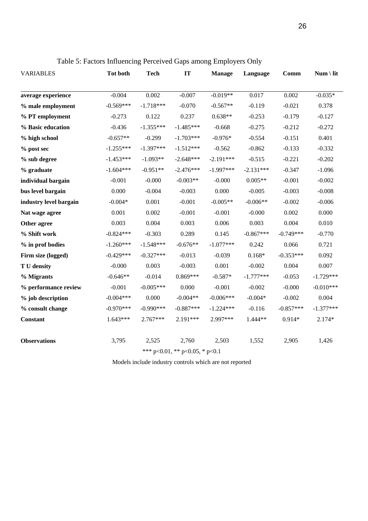| <b>VARIABLES</b>       | <b>Tot both</b> | <b>Tech</b> | IT                             | <b>Manage</b> | Language    | Comm        | $Num \setminus lit$ |
|------------------------|-----------------|-------------|--------------------------------|---------------|-------------|-------------|---------------------|
| average experience     | $-0.004$        | 0.002       | $-0.007$                       | $-0.019**$    | 0.017       | 0.002       | $-0.035*$           |
| % male employment      | $-0.569***$     | $-1.718***$ | $-0.070$                       | $-0.567**$    | $-0.119$    | $-0.021$    | 0.378               |
| % PT employment        | $-0.273$        | 0.122       | 0.237                          | $0.638**$     | $-0.253$    | $-0.179$    | $-0.127$            |
| % Basic education      | $-0.436$        | $-1.355***$ | $-1.485***$                    | $-0.668$      | $-0.275$    | $-0.212$    | $-0.272$            |
| % high school          | $-0.657**$      | $-0.299$    | $-1.703***$                    | $-0.976*$     | $-0.554$    | $-0.151$    | 0.401               |
| % post sec             | $-1.255***$     | $-1.397***$ | $-1.512***$                    | $-0.562$      | $-0.862$    | $-0.133$    | $-0.332$            |
| % sub degree           | $-1.453***$     | $-1.093**$  | $-2.648***$                    | $-2.191***$   | $-0.515$    | $-0.221$    | $-0.202$            |
| % graduate             | $-1.604***$     | $-0.951**$  | $-2.476***$                    | $-1.997***$   | $-2.131***$ | $-0.347$    | $-1.096$            |
| individual bargain     | $-0.001$        | $-0.000$    | $-0.003**$                     | $-0.000$      | $0.005**$   | $-0.001$    | $-0.002$            |
| bus level bargain      | 0.000           | $-0.004$    | $-0.003$                       | 0.000         | $-0.005$    | $-0.003$    | $-0.008$            |
| industry level bargain | $-0.004*$       | 0.001       | $-0.001$                       | $-0.005**$    | $-0.006**$  | $-0.002$    | $-0.006$            |
| Nat wage agree         | 0.001           | 0.002       | $-0.001$                       | $-0.001$      | $-0.000$    | 0.002       | 0.000               |
| Other agree            | 0.003           | 0.004       | 0.003                          | 0.006         | 0.003       | 0.004       | 0.010               |
| % Shift work           | $-0.824***$     | $-0.303$    | 0.289                          | 0.145         | $-0.867***$ | $-0.749***$ | $-0.770$            |
| % in prof bodies       | $-1.260***$     | $-1.548***$ | $-0.676**$                     | $-1.077***$   | 0.242       | 0.066       | 0.721               |
| Firm size (logged)     | $-0.429***$     | $-0.327***$ | $-0.013$                       | $-0.039$      | $0.168*$    | $-0.353***$ | 0.092               |
| T U density            | $-0.000$        | 0.003       | $-0.003$                       | 0.001         | $-0.002$    | 0.004       | 0.007               |
| % Migrants             | $-0.646**$      | $-0.014$    | $0.869***$                     | $-0.587*$     | $-1.777***$ | $-0.053$    | $-1.729***$         |
| % performance review   | $-0.001$        | $-0.005***$ | 0.000                          | $-0.001$      | $-0.002$    | $-0.000$    | $-0.010***$         |
| % job description      | $-0.004***$     | 0.000       | $-0.004**$                     | $-0.006***$   | $-0.004*$   | $-0.002$    | 0.004               |
| % consult change       | $-0.970***$     | $-0.990***$ | $-0.887***$                    | $-1.224***$   | $-0.116$    | $-0.857***$ | $-1.377***$         |
| Constant               | $1.643***$      | 2.767***    | 2.191***                       | 2.997***      | 1.444**     | $0.914*$    | $2.174*$            |
| <b>Observations</b>    | 3,795           | 2,525       | 2,760                          | 2,503         | 1,552       | 2,905       | 1,426               |
|                        |                 |             | *** p<0.01, ** p<0.05, * p<0.1 |               |             |             |                     |

Table 5: Factors Influencing Perceived Gaps among Employers Only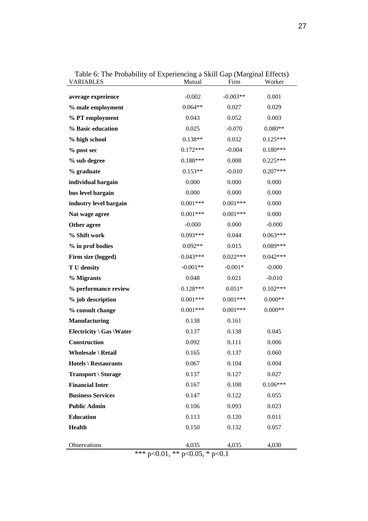| $\frac{1}{2}$ of the Fromomy of Experiencing a bilin $\frac{1}{2}$ (marginar Em-<br><b>VARIABLES</b> | Mutual     | Firm       | Worker     |
|------------------------------------------------------------------------------------------------------|------------|------------|------------|
| average experience                                                                                   | $-0.002$   | $-0.003**$ | 0.001      |
| % male employment                                                                                    | $0.064**$  | 0.027      | 0.029      |
| % PT employment                                                                                      | 0.043      | 0.052      | 0.003      |
| % Basic education                                                                                    | 0.025      | $-0.070$   | $0.080**$  |
| % high school                                                                                        | $0.138**$  | 0.032      | $0.125***$ |
| % post sec                                                                                           | $0.172***$ | $-0.004$   | $0.180***$ |
| % sub degree                                                                                         | $0.188***$ | 0.008      | $0.225***$ |
| % graduate                                                                                           | $0.153**$  | $-0.010$   | $0.207***$ |
| individual bargain                                                                                   | 0.000      | 0.000      | 0.000      |
| bus level bargain                                                                                    | 0.000      | 0.000      | 0.000      |
| industry level bargain                                                                               | $0.001***$ | $0.001***$ | 0.000      |
| Nat wage agree                                                                                       | $0.001***$ | $0.001***$ | 0.000      |
| Other agree                                                                                          | $-0.000$   | 0.000      | $-0.000$   |
| % Shift work                                                                                         | $0.093***$ | 0.044      | $0.063***$ |
| % in prof bodies                                                                                     | $0.092**$  | 0.015      | $0.089***$ |
| Firm size (logged)                                                                                   | $0.043***$ | $0.022***$ | $0.042***$ |
| T U density                                                                                          | $-0.001**$ | $-0.001*$  | $-0.000$   |
| % Migrants                                                                                           | 0.048      | 0.021      | $-0.010$   |
| % performance review                                                                                 | $0.128***$ | $0.051*$   | $0.102***$ |
| % job description                                                                                    | $0.001***$ | $0.001***$ | $0.000**$  |
| % consult change                                                                                     | $0.001***$ | $0.001***$ | $0.000**$  |
| <b>Manufacturing</b>                                                                                 | 0.138      | 0.161      |            |
| Electricity $\setminus$ Gas $\setminus$ Water                                                        | 0.137      | 0.138      | 0.045      |
| Construction                                                                                         | 0.092      | 0.111      | 0.006      |
| Wholesale \ Retail                                                                                   | 0.165      | 0.137      | 0.060      |
| <b>Hotels \ Restaurants</b>                                                                          | 0.067      | 0.104      | 0.004      |
| Transport \ Storage                                                                                  | 0.137      | 0.127      | 0.027      |
| <b>Financial Inter</b>                                                                               | 0.167      | 0.108      | $0.106***$ |
| <b>Business Services</b>                                                                             | 0.147      | 0.122      | 0.055      |
| <b>Public Admin</b>                                                                                  | 0.106      | 0.093      | 0.023      |
| <b>Education</b>                                                                                     | 0.113      | 0.120      | 0.011      |
| <b>Health</b>                                                                                        | 0.150      | 0.132      | 0.057      |
| Observations                                                                                         | 4,035      | 4,035      | 4,030      |
| *** p<0.01, ** p<0.05, * p<0.1                                                                       |            |            |            |

Table 6: The Probability of Experiencing a Skill Gap (Marginal Effects)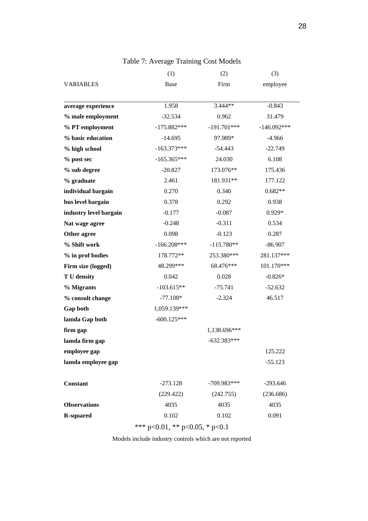|                                | (1)           | (2)           | (3)           |  |  |
|--------------------------------|---------------|---------------|---------------|--|--|
| <b>VARIABLES</b>               | Base          | Firm          | employee      |  |  |
|                                |               |               |               |  |  |
| average experience             | 1.958         | $3.444**$     | $-0.843$      |  |  |
| % male employment              | $-32.534$     | 0.962         | 31.479        |  |  |
| % PT employment                | $-175.882***$ | $-191.701***$ | $-146.092***$ |  |  |
| % basic education              | $-14.695$     | 97.989*       | $-4.966$      |  |  |
| % high school                  | $-163.373***$ | $-54.443$     | $-22.749$     |  |  |
| % post sec                     | $-165.365***$ | 24.030        | 6.108         |  |  |
| % sub degree                   | $-20.827$     | 173.076**     | 175.436       |  |  |
| % graduate                     | 2.461         | 181.931**     | 177.122       |  |  |
| individual bargain             | 0.270         | 0.340         | $0.682**$     |  |  |
| bus level bargain              | 0.378         | 0.292         | 0.938         |  |  |
| industry level bargain         | $-0.177$      | $-0.087$      | $0.929*$      |  |  |
| Nat wage agree                 | $-0.248$      | $-0.311$      | 0.534         |  |  |
| Other agree                    | 0.098         | $-0.123$      | 0.287         |  |  |
| % Shift work                   | $-166.208***$ | $-115.780**$  | $-86.907$     |  |  |
| % in prof bodies               | 178.772**     | 253.380***    | 281.137***    |  |  |
| Firm size (logged)             | 48.299***     | 68.476***     | 101.170***    |  |  |
| T U density                    | 0.042         | 0.028         | $-0.826*$     |  |  |
| % Migrants                     | $-103.615**$  | $-75.741$     | $-52.632$     |  |  |
| % consult change               | $-77.108*$    | $-2.324$      | 46.517        |  |  |
| Gap both                       | 1,059.139***  |               |               |  |  |
| lamda Gap both                 | $-600.125***$ |               |               |  |  |
| firm gap                       |               | 1,138.696***  |               |  |  |
| lamda firm gap                 |               | $-632.383***$ |               |  |  |
| employee gap                   |               |               | 125.222       |  |  |
| lamda employee gap             |               |               | $-55.123$     |  |  |
|                                |               |               |               |  |  |
| <b>Constant</b>                | $-273.128$    | $-709.983***$ | $-293.646$    |  |  |
|                                | (229.422)     | (242.755)     | (236.686)     |  |  |
| <b>Observations</b>            | 4035          | 4035          | 4035          |  |  |
| <b>R-squared</b>               | 0.102         | 0.102         | 0.091         |  |  |
| *** p<0.01, ** p<0.05, * p<0.1 |               |               |               |  |  |

# Table 7: Average Training Cost Models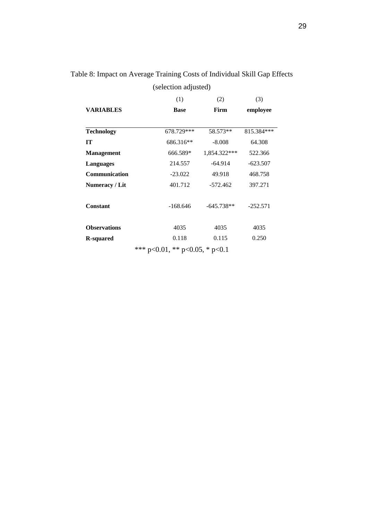|                      | (1)         | (2)          | (3)        |  |
|----------------------|-------------|--------------|------------|--|
| <b>VARIABLES</b>     | <b>Base</b> | Firm         | employee   |  |
| <b>Technology</b>    | 678.729***  | 58.573**     | 815.384*** |  |
| <b>IT</b>            | 686.316**   | $-8.008$     | 64.308     |  |
| <b>Management</b>    | 666.589*    | 1,854.322*** | 522.366    |  |
| <b>Languages</b>     | 214.557     | $-64.914$    | $-623.507$ |  |
| <b>Communication</b> | $-23.022$   | 49.918       | 468.758    |  |
| Numeracy / Lit       | 401.712     | $-572.462$   | 397.271    |  |
| <b>Constant</b>      | $-168.646$  | $-645.738**$ | $-252.571$ |  |
| <b>Observations</b>  | 4035        | 4035         | 4035       |  |
| <b>R-squared</b>     | 0.118       | 0.115        | 0.250      |  |

Table 8: Impact on Average Training Costs of Individual Skill Gap Effects

(selection adjusted)

\*\*\* p<0.01, \*\* p<0.05, \* p<0.1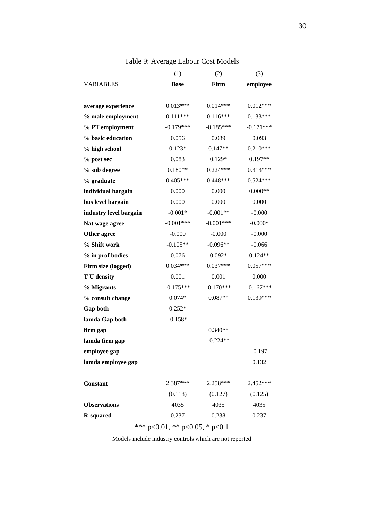|                                | (1)         | (2)         | (3)         |  |  |  |
|--------------------------------|-------------|-------------|-------------|--|--|--|
| <b>VARIABLES</b>               | <b>Base</b> | Firm        | employee    |  |  |  |
|                                |             |             |             |  |  |  |
| average experience             | $0.013***$  | $0.014***$  | $0.012***$  |  |  |  |
| % male employment              | $0.111***$  | $0.116***$  | $0.133***$  |  |  |  |
| % PT employment                | $-0.179***$ | $-0.185***$ | $-0.171***$ |  |  |  |
| % basic education              | 0.056       | 0.089       | 0.093       |  |  |  |
| % high school                  | $0.123*$    | $0.147**$   | $0.210***$  |  |  |  |
| % post sec                     | 0.083       | $0.129*$    | $0.197**$   |  |  |  |
| % sub degree                   | $0.180**$   | $0.224***$  | $0.313***$  |  |  |  |
| % graduate                     | $0.405***$  | $0.448***$  | $0.524***$  |  |  |  |
| individual bargain             | 0.000       | 0.000       | $0.000**$   |  |  |  |
| bus level bargain              | 0.000       | 0.000       | 0.000       |  |  |  |
| industry level bargain         | $-0.001*$   | $-0.001**$  | $-0.000$    |  |  |  |
| Nat wage agree                 | $-0.001***$ | $-0.001***$ | $-0.000*$   |  |  |  |
| Other agree                    | $-0.000$    | $-0.000$    | $-0.000$    |  |  |  |
| % Shift work                   | $-0.105**$  | $-0.096**$  | $-0.066$    |  |  |  |
| % in prof bodies               | 0.076       | $0.092*$    | $0.124**$   |  |  |  |
| Firm size (logged)             | $0.034***$  | $0.037***$  | $0.057***$  |  |  |  |
| T U density                    | 0.001       | 0.001       | 0.000       |  |  |  |
| % Migrants                     | $-0.175***$ | $-0.170***$ | $-0.167***$ |  |  |  |
| % consult change               | $0.074*$    | $0.087**$   | $0.139***$  |  |  |  |
| Gap both                       | $0.252*$    |             |             |  |  |  |
| lamda Gap both                 | $-0.158*$   |             |             |  |  |  |
| firm gap                       |             | $0.340**$   |             |  |  |  |
| lamda firm gap                 |             | $-0.224**$  |             |  |  |  |
| employee gap                   |             |             | $-0.197$    |  |  |  |
| lamda employee gap             |             |             | 0.132       |  |  |  |
|                                |             |             |             |  |  |  |
| <b>Constant</b>                | $2.387***$  | $2.258***$  | $2.452***$  |  |  |  |
|                                | (0.118)     | (0.127)     | (0.125)     |  |  |  |
| <b>Observations</b>            | 4035        | 4035        | 4035        |  |  |  |
| <b>R-squared</b>               | 0.237       | 0.238       | 0.237       |  |  |  |
| *** p<0.01, ** p<0.05, * p<0.1 |             |             |             |  |  |  |

# Table 9: Average Labour Cost Models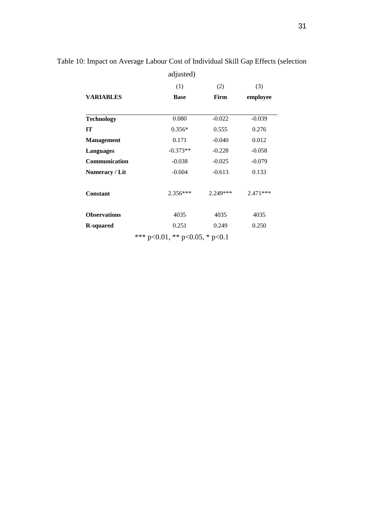|                     | adjusted)                      |          |            |
|---------------------|--------------------------------|----------|------------|
|                     | (1)                            | (2)      | (3)        |
| <b>VARIABLES</b>    | <b>Base</b>                    | Firm     | employee   |
|                     |                                |          |            |
| <b>Technology</b>   | 0.080                          | $-0.022$ | $-0.039$   |
| IT                  | $0.356*$                       | 0.555    | 0.276      |
| <b>Management</b>   | 0.171                          | $-0.040$ | 0.012      |
| <b>Languages</b>    | $-0.373**$                     | $-0.228$ | $-0.058$   |
| Communication       | $-0.038$                       | $-0.025$ | $-0.079$   |
| Numeracy / Lit      | $-0.604$                       | $-0.613$ | 0.133      |
| <b>Constant</b>     | $2.356***$                     | 2.249*** | $2.471***$ |
| <b>Observations</b> | 4035                           | 4035     | 4035       |
| <b>R-squared</b>    | 0.251                          | 0.249    | 0.250      |
|                     | *** p<0.01, ** p<0.05, * p<0.1 |          |            |

# Table 10: Impact on Average Labour Cost of Individual Skill Gap Effects (selection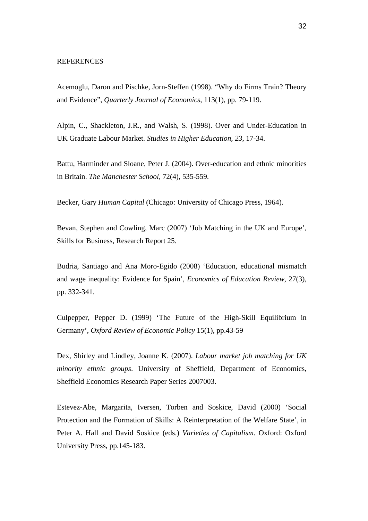#### **REFERENCES**

Acemoglu, Daron and Pischke, Jorn-Steffen (1998). "Why do Firms Train? Theory and Evidence", *Quarterly Journal of Economics*, 113(1), pp. 79-119.

Alpin, C., Shackleton, J.R., and Walsh, S. (1998). Over and Under-Education in UK Graduate Labour Market. *Studies in Higher Education, 23*, 17-34.

Battu, Harminder and Sloane, Peter J. (2004). Over-education and ethnic minorities in Britain. *The Manchester School*, 72(4), 535-559.

Becker, Gary *Human Capital* (Chicago: University of Chicago Press, 1964).

Bevan, Stephen and Cowling, Marc (2007) 'Job Matching in the UK and Europe', Skills for Business, Research Report 25.

Budria, Santiago and Ana Moro-Egido (2008) 'Education, educational mismatch and wage inequality: Evidence for Spain', *Economics of Education Review*, 27(3), pp. 332-341.

Culpepper, Pepper D. (1999) 'The Future of the High-Skill Equilibrium in Germany', *Oxford Review of Economic Policy* 15(1), pp.43-59

Dex, Shirley and Lindley, Joanne K. (2007). *Labour market job matching for UK minority ethnic groups*. University of Sheffield, Department of Economics, Sheffield Economics Research Paper Series 2007003.

Estevez-Abe, Margarita, Iversen, Torben and Soskice, David (2000) 'Social Protection and the Formation of Skills: A Reinterpretation of the Welfare State', in Peter A. Hall and David Soskice (eds.) *Varieties of Capitalism*. Oxford: Oxford University Press, pp.145-183.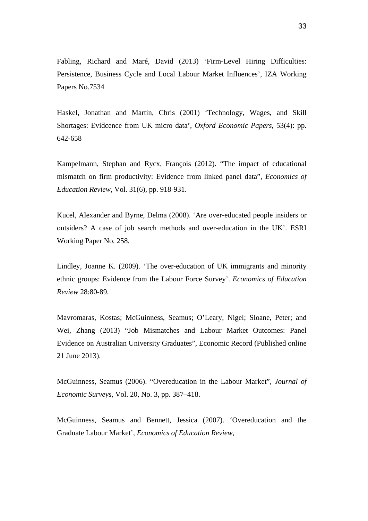Fabling, Richard and Maré, David (2013) 'Firm-Level Hiring Difficulties: Persistence, Business Cycle and Local Labour Market Influences', IZA Working Papers No.7534

Haskel, Jonathan and Martin, Chris (2001) 'Technology, Wages, and Skill Shortages: Evidcence from UK micro data', *Oxford Economic Papers*, 53(4): pp. 642-658

Kampelmann, Stephan and Rycx, François (2012). "The impact of educational mismatch on firm productivity: Evidence from linked panel data", *Economics of Education Review*, Vol. 31(6), pp. 918-931.

Kucel, Alexander and Byrne, Delma (2008). 'Are over-educated people insiders or outsiders? A case of job search methods and over-education in the UK'. ESRI Working Paper No. 258.

Lindley, Joanne K. (2009). 'The over-education of UK immigrants and minority ethnic groups: Evidence from the Labour Force Survey'. *Economics of Education Review* 28:80-89.

Mavromaras, Kostas; McGuinness, Seamus; O'Leary, Nigel; Sloane, Peter; and Wei, Zhang (2013) "Job Mismatches and Labour Market Outcomes: Panel Evidence on Australian University Graduates", Economic Record (Published online 21 June 2013).

McGuinness, Seamus (2006). "Overeducation in the Labour Market", *Journal of Economic Surveys*, Vol. 20, No. 3, pp. 387–418.

McGuinness, Seamus and Bennett, Jessica (2007). 'Overeducation and the Graduate Labour Market', *Economics of Education Review*,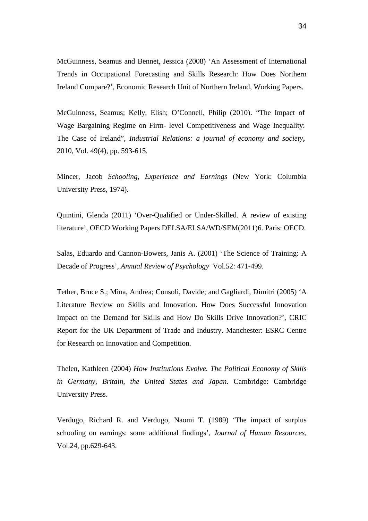McGuinness, Seamus and Bennet, Jessica (2008) 'An Assessment of International Trends in Occupational Forecasting and Skills Research: How Does Northern Ireland Compare?', Economic Research Unit of Northern Ireland, Working Papers.

McGuinness, Seamus; Kelly, Elish; O'Connell, Philip (2010). "The Impact of Wage Bargaining Regime on Firm- level Competitiveness and Wage Inequality: The Case of Ireland", *Industrial Relations: a journal of economy and society***,** 2010, Vol. 49(4), pp. 593-615.

Mincer, Jacob *Schooling, Experience and Earnings* (New York: Columbia University Press, 1974).

Quintini, Glenda (2011) 'Over-Qualified or Under-Skilled. A review of existing literature', OECD Working Papers DELSA/ELSA/WD/SEM(2011)6. Paris: OECD.

Salas, Eduardo and Cannon-Bowers, Janis A. (2001) 'The Science of Training: A Decade of Progress', *Annual Review of Psychology* Vol.52: 471-499.

Tether, Bruce S.; Mina, Andrea; Consoli, Davide; and Gagliardi, Dimitri (2005) 'A Literature Review on Skills and Innovation. How Does Successful Innovation Impact on the Demand for Skills and How Do Skills Drive Innovation?', CRIC Report for the UK Department of Trade and Industry. Manchester: ESRC Centre for Research on Innovation and Competition.

Thelen, Kathleen (2004) *How Institutions Evolve. The Political Economy of Skills in Germany, Britain, the United States and Japan*. Cambridge: Cambridge University Press.

Verdugo, Richard R. and Verdugo, Naomi T. (1989) 'The impact of surplus schooling on earnings: some additional findings', *Journal of Human Resources*, Vol.24, pp.629-643.